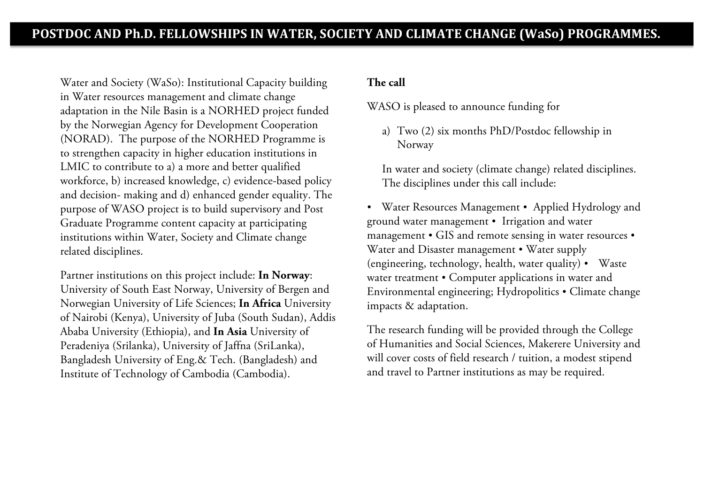Water and Society (WaSo): Institutional Capacity building in Water resources management and climate change adaptation in the Nile Basin is a NORHED project funded by the Norwegian Agency for Development Cooperation (NORAD). The purpose of the NORHED Programme is to strengthen capacity in higher education institutions in LMIC to contribute to a) a more and better qualified workforce, b) increased knowledge, c) evidence-based policy and decision- making and d) enhanced gender equality. The purpose of WASO project is to build supervisory and Post Graduate Programme content capacity at participating institutions within Water, Society and Climate change related disciplines.

Partner institutions on this project include: **In Norway**: University of South East Norway, University of Bergen and Norwegian University of Life Sciences; **In Africa** University of Nairobi (Kenya), University of Juba (South Sudan), Addis Ababa University (Ethiopia), and **In Asia** University of Peradeniya (Srilanka), University of Jaffna (SriLanka), Bangladesh University of Eng.& Tech. (Bangladesh) and Institute of Technology of Cambodia (Cambodia).

## **The call**

WASO is pleased to announce funding for

a) Two (2) six months PhD/Postdoc fellowship in Norway

In water and society (climate change) related disciplines. The disciplines under this call include:

• Water Resources Management • Applied Hydrology and ground water management • Irrigation and water management • GIS and remote sensing in water resources • Water and Disaster management • Water supply (engineering, technology, health, water quality) • Waste water treatment • Computer applications in water and Environmental engineering; Hydropolitics Climate change impacts & adaptation.

The research funding will be provided through the College of Humanities and Social Sciences, Makerere University and will cover costs of field research / tuition, a modest stipend and travel to Partner institutions as may be required.